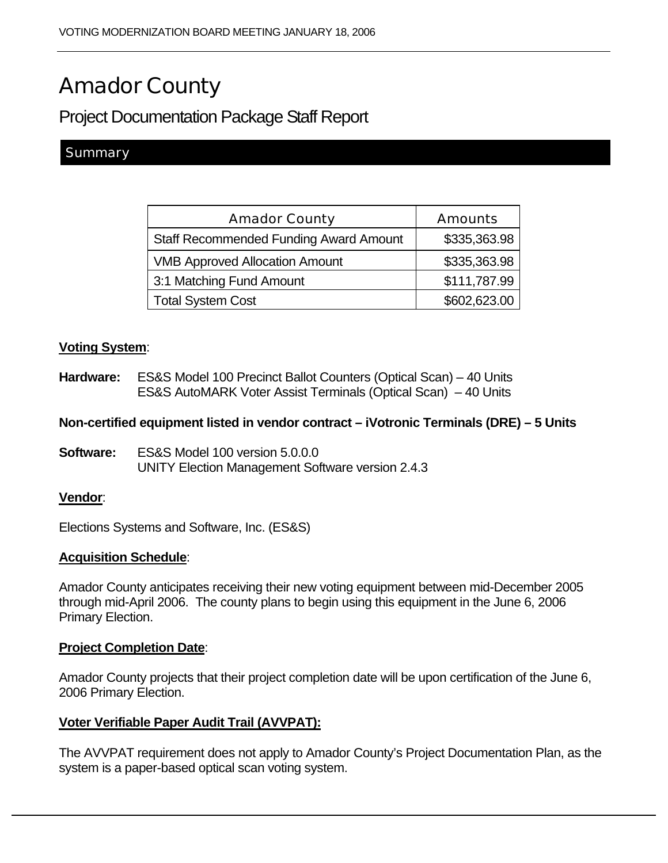# Amador County

Project Documentation Package Staff Report

# **Summary**

| <b>Amador County</b>                          | <b>Amounts</b> |
|-----------------------------------------------|----------------|
| <b>Staff Recommended Funding Award Amount</b> | \$335,363.98   |
| <b>VMB Approved Allocation Amount</b>         | \$335,363.98   |
| 3:1 Matching Fund Amount                      | \$111,787.99   |
| <b>Total System Cost</b>                      | \$602,623.00   |

## **Voting System**:

**Hardware:** ES&S Model 100 Precinct Ballot Counters (Optical Scan) – 40 Units ES&S AutoMARK Voter Assist Terminals (Optical Scan) – 40 Units

## **Non-certified equipment listed in vendor contract – iVotronic Terminals (DRE) – 5 Units**

**Software:** ES&S Model 100 version 5.0.0.0 UNITY Election Management Software version 2.4.3

## **Vendor**:

Elections Systems and Software, Inc. (ES&S)

## **Acquisition Schedule**:

Amador County anticipates receiving their new voting equipment between mid-December 2005 through mid-April 2006. The county plans to begin using this equipment in the June 6, 2006 Primary Election.

#### **Project Completion Date**:

Amador County projects that their project completion date will be upon certification of the June 6, 2006 Primary Election.

## **Voter Verifiable Paper Audit Trail (AVVPAT):**

The AVVPAT requirement does not apply to Amador County's Project Documentation Plan, as the system is a paper-based optical scan voting system.